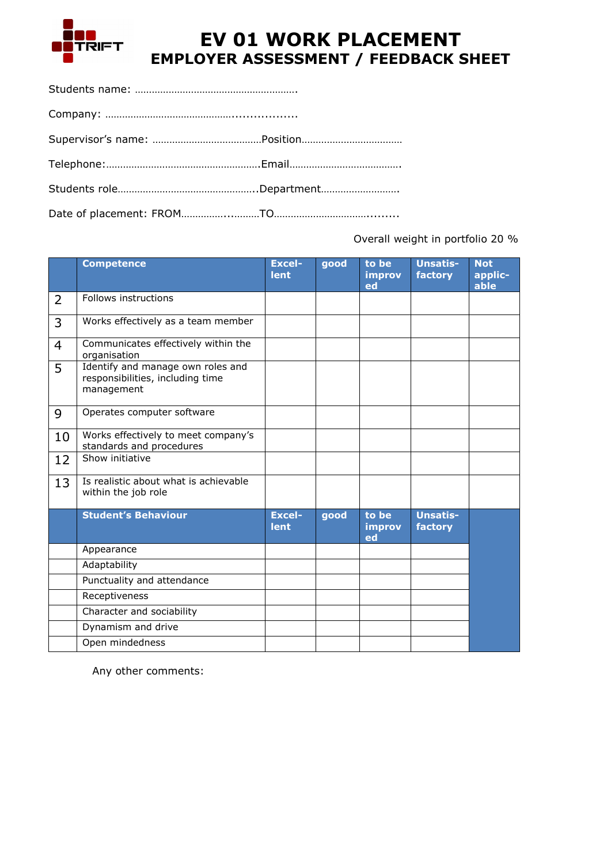

## **EV 01 WORK PLACEMENT EMPLOYER ASSESSMENT / FEEDBACK SHEET**

Overall weight in portfolio 20 %

|                | <b>Competence</b>                                                                   | <b>Excel-</b><br><b>lent</b> | good | to be<br>improv<br>ed | <b>Unsatis-</b><br>factory | <b>Not</b><br>applic-<br>able |
|----------------|-------------------------------------------------------------------------------------|------------------------------|------|-----------------------|----------------------------|-------------------------------|
| 2              | Follows instructions                                                                |                              |      |                       |                            |                               |
| 3              | Works effectively as a team member                                                  |                              |      |                       |                            |                               |
| $\overline{4}$ | Communicates effectively within the<br>organisation                                 |                              |      |                       |                            |                               |
| 5              | Identify and manage own roles and<br>responsibilities, including time<br>management |                              |      |                       |                            |                               |
| 9              | Operates computer software                                                          |                              |      |                       |                            |                               |
| 10             | Works effectively to meet company's<br>standards and procedures                     |                              |      |                       |                            |                               |
| 12             | Show initiative                                                                     |                              |      |                       |                            |                               |
| 13             | Is realistic about what is achievable<br>within the job role                        |                              |      |                       |                            |                               |
|                | <b>Student's Behaviour</b>                                                          | <b>Excel-</b><br><b>lent</b> | good | to be<br>improv<br>ed | <b>Unsatis-</b><br>factory |                               |
|                | Appearance                                                                          |                              |      |                       |                            |                               |
|                | Adaptability                                                                        |                              |      |                       |                            |                               |
|                | Punctuality and attendance                                                          |                              |      |                       |                            |                               |
|                | Receptiveness                                                                       |                              |      |                       |                            |                               |
|                | Character and sociability                                                           |                              |      |                       |                            |                               |
|                | Dynamism and drive                                                                  |                              |      |                       |                            |                               |
|                | Open mindedness                                                                     |                              |      |                       |                            |                               |

Any other comments: